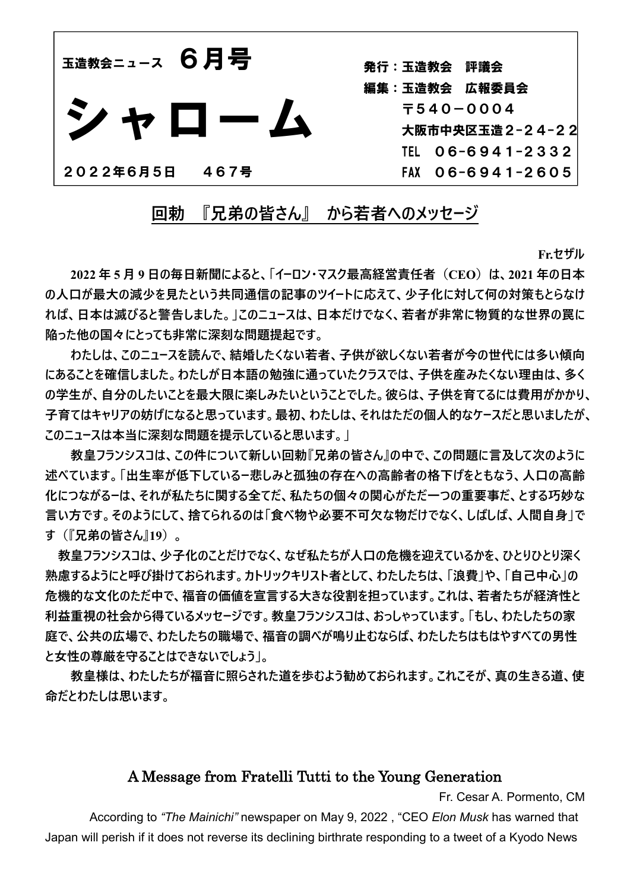

発行:玉造教会 評議会 編集:玉造教会 広報委員会 〒540-0004 大阪市中央区玉造2-24-22 TEL 06-6941-2332 FAX 06-6941-2605

**回勅 『兄弟の皆さん』 から若者へのメッセージ**

**Fr.セザル**

 **2022 年 5 月 9 日の毎日新聞によると、「イーロン・マスク最高経営責任者(CEO)は、2021 年の日本 の人口が最大の減少を見たという共同通信の記事のツイートに応えて、少子化に対して何の対策もとらなけ れば、日本は滅びると警告しました。」このニュースは、日本だけでなく、若者が非常に物質的な世界の罠に 陥った他の国々にとっても非常に深刻な問題提起です。**

**わたしは、このニュースを読んで、結婚したくない若者、子供が欲しくない若者が今の世代には多い傾向 にあることを確信しました。わたしが日本語の勉強に通っていたクラスでは、子供を産みたくない理由は、多く** の学生が、自分のしたいことを最大限に楽しみたいということでした。彼らは、子供を育てるには費用がかかり、 **子育てはキャリアの妨げになると思っています。最初、わたしは、それはただの個人的なケースだと思いましたが、 このニュースは本当に深刻な問題を提示していると思います。」**

**教皇フランシスコは、この件について新しい回勅『兄弟の皆さん』の中で、この問題に言及して次のように 述べています。「出生率が低下しているー悲しみと孤独の存在への高齢者の格下げをともなう、人口の高齢 化につながるーは、それが私たちに関する全てだ、私たちの個々の関心がただ一つの重要事だ、とする巧妙な 言い方です。そのようにして、捨てられるのは「食べ物や必要不可欠な物だけでなく、しばしば、人間自身」で す(『兄弟の皆さん』19)。**

**教皇フランシスコは、少子化のことだけでなく、なぜ私たちが人口の危機を迎えているかを、ひとりひとり深く 熟慮するようにと呼び掛けておられます。カトリックキリスト者として、わたしたちは、「浪費」や、「自己中心」の 危機的な文化のただ中で、福音の価値を宣言する大きな役割を担っています。これは、若者たちが経済性と 利益重視の社会から得ているメッセージです。教皇フランシスコは、おっしゃっています。「もし、わたしたちの家 庭で、公共の広場で、わたしたちの職場で、福音の調べが鳴り止むならば、わたしたちはもはやすべての男性 と女性の尊厳を守ることはできないでしょう」。**

 **教皇様は、わたしたちが福音に照らされた道を歩むよう勧めておられます。これこそが、真の生きる道、使 命だとわたしは思います。**

## A Message from Fratelli Tutti to the Young Generation

Fr. Cesar A. Pormento, CM

According to *"The Mainichi"* newspaper on May 9, 2022 , "CEO *Elon Musk* has warned that Japan will perish if it does not reverse its declining birthrate responding to a tweet of a Kyodo News